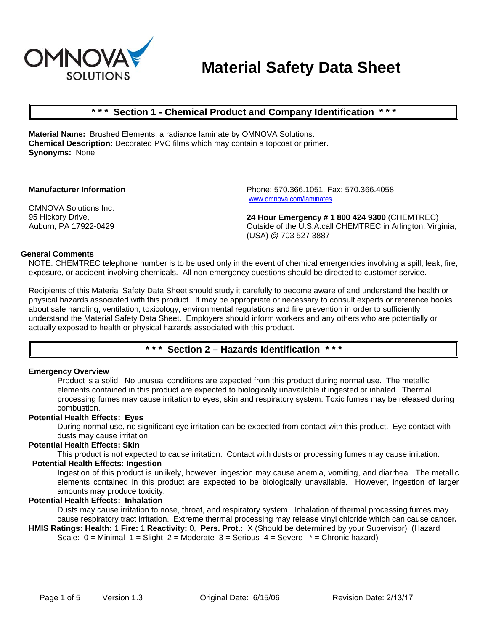

# **Material Safety Data Sheet**

## **\* \* \* Section 1 - Chemical Product and Company Identification \* \* \***

**Material Name:** Brushed Elements, a radiance laminate by OMNOVA Solutions. **Chemical Description:** Decorated PVC films which may contain a topcoat or primer. **Synonyms:** None

#### **Manufacturer Information**

OMNOVA Solutions Inc. 95 Hickory Drive, Auburn, PA 17922-0429 Phone: 570.366.1051. Fax: 570.366.4058 www.omnova.com/laminates

**24 Hour Emergency # 1 800 424 9300** (CHEMTREC) Outside of the U.S.A.call CHEMTREC in Arlington, Virginia, (USA) @ 703 527 3887

#### **General Comments**

NOTE: CHEMTREC telephone number is to be used only in the event of chemical emergencies involving a spill, leak, fire, exposure, or accident involving chemicals. All non-emergency questions should be directed to customer service. .

Recipients of this Material Safety Data Sheet should study it carefully to become aware of and understand the health or physical hazards associated with this product. It may be appropriate or necessary to consult experts or reference books about safe handling, ventilation, toxicology, environmental regulations and fire prevention in order to sufficiently understand the Material Safety Data Sheet. Employers should inform workers and any others who are potentially or actually exposed to health or physical hazards associated with this product.

## **\* \* \* Section 2 – Hazards Identification \* \* \***

#### **Emergency Overview**

Product is a solid. No unusual conditions are expected from this product during normal use. The metallic elements contained in this product are expected to biologically unavailable if ingested or inhaled. Thermal processing fumes may cause irritation to eyes, skin and respiratory system. Toxic fumes may be released during combustion.

## **Potential Health Effects: Eyes**

During normal use, no significant eye irritation can be expected from contact with this product. Eye contact with dusts may cause irritation.

#### **Potential Health Effects: Skin**

This product is not expected to cause irritation. Contact with dusts or processing fumes may cause irritation.

#### **Potential Health Effects: Ingestion**

Ingestion of this product is unlikely, however, ingestion may cause anemia, vomiting, and diarrhea. The metallic elements contained in this product are expected to be biologically unavailable. However, ingestion of larger amounts may produce toxicity.

#### **Potential Health Effects: Inhalation**

Dusts may cause irritation to nose, throat, and respiratory system. Inhalation of thermal processing fumes may cause respiratory tract irritation. Extreme thermal processing may release vinyl chloride which can cause cancer**.** 

**HMIS Ratings: Health:** 1 **Fire:** 1 **Reactivity:** 0, **Pers. Prot.:** X (Should be determined by your Supervisor) (Hazard Scale:  $0 =$  Minimal  $1 =$  Slight  $2 =$  Moderate  $3 =$  Serious  $4 =$  Severe  $* =$  Chronic hazard)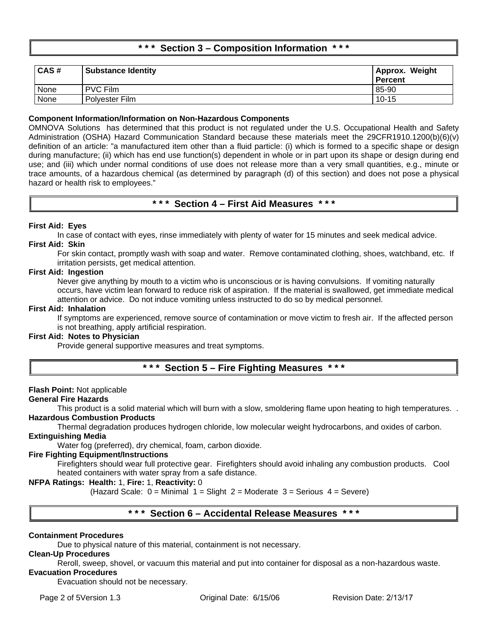## **\* \* \* Section 3 – Composition Information \* \* \***

| CAS# | <b>Substance Identity</b> | Approx. Weight<br><b>Percent</b> |
|------|---------------------------|----------------------------------|
| None | <b>PVC Film</b>           | 85-90                            |
| None | Polyester Film            | $10 - 15$                        |

## **Component Information/Information on Non-Hazardous Components**

OMNOVA Solutions has determined that this product is not regulated under the U.S. Occupational Health and Safety Administration (OSHA) Hazard Communication Standard because these materials meet the 29CFR1910.1200(b)(6)(v) definition of an article: "a manufactured item other than a fluid particle: (i) which is formed to a specific shape or design during manufacture; (ii) which has end use function(s) dependent in whole or in part upon its shape or design during end use; and (iii) which under normal conditions of use does not release more than a very small quantities, e.g., minute or trace amounts, of a hazardous chemical (as determined by paragraph (d) of this section) and does not pose a physical hazard or health risk to employees."

## **\* \* \* Section 4 – First Aid Measures \* \* \***

## **First Aid: Eyes**

In case of contact with eyes, rinse immediately with plenty of water for 15 minutes and seek medical advice. **First Aid: Skin**

For skin contact, promptly wash with soap and water. Remove contaminated clothing, shoes, watchband, etc. If irritation persists, get medical attention.

## **First Aid: Ingestion**

Never give anything by mouth to a victim who is unconscious or is having convulsions. If vomiting naturally occurs, have victim lean forward to reduce risk of aspiration. If the material is swallowed, get immediate medical attention or advice. Do not induce vomiting unless instructed to do so by medical personnel.

#### **First Aid: Inhalation**

If symptoms are experienced, remove source of contamination or move victim to fresh air. If the affected person is not breathing, apply artificial respiration.

## **First Aid: Notes to Physician**

Provide general supportive measures and treat symptoms.

## **\* \* \* Section 5 – Fire Fighting Measures \* \* \***

## **Flash Point:** Not applicable

## **General Fire Hazards**

This product is a solid material which will burn with a slow, smoldering flame upon heating to high temperatures. . **Hazardous Combustion Products**

Thermal degradation produces hydrogen chloride, low molecular weight hydrocarbons, and oxides of carbon. **Extinguishing Media**

Water fog (preferred), dry chemical, foam, carbon dioxide.

#### **Fire Fighting Equipment/Instructions**

Firefighters should wear full protective gear. Firefighters should avoid inhaling any combustion products. Cool heated containers with water spray from a safe distance.

## **NFPA Ratings: Health:** 1, **Fire:** 1, **Reactivity:** 0

(Hazard Scale:  $0 =$  Minimal  $1 =$  Slight  $2 =$  Moderate  $3 =$  Serious  $4 =$  Severe)

## **\* \* \* Section 6 – Accidental Release Measures \* \* \***

## **Containment Procedures**

Due to physical nature of this material, containment is not necessary.

## **Clean-Up Procedures**

Reroll, sweep, shovel, or vacuum this material and put into container for disposal as a non-hazardous waste.

## **Evacuation Procedures**

Evacuation should not be necessary.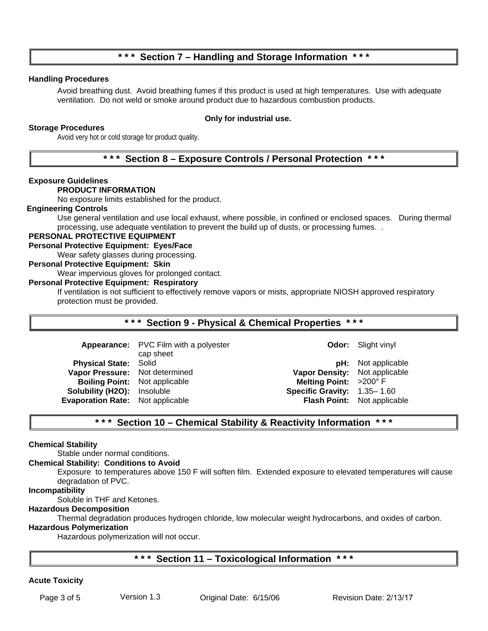## **\* \* \* Section 7 – Handling and Storage Information \* \* \***

## **Handling Procedures**

Avoid breathing dust. Avoid breathing fumes if this product is used at high temperatures. Use with adequate ventilation. Do not weld or smoke around product due to hazardous combustion products.

## **Storage Procedures**

## **Only for industrial use.**

Avoid very hot or cold storage for product quality.

## **\* \* \* Section 8 – Exposure Controls / Personal Protection \* \* \***

## **Exposure Guidelines**

## **PRODUCT INFORMATION**

No exposure limits established for the product.

#### **Engineering Controls**

Use general ventilation and use local exhaust, where possible, in confined or enclosed spaces. During thermal processing, use adequate ventilation to prevent the build up of dusts, or processing fumes. .

## **PERSONAL PROTECTIVE EQUIPMENT**

## **Personal Protective Equipment: Eyes/Face**

Wear safety glasses during processing.

## **Personal Protective Equipment: Skin**

Wear impervious gloves for prolonged contact.

## **Personal Protective Equipment: Respiratory**

If ventilation is not sufficient to effectively remove vapors or mists, appropriate NIOSH approved respiratory protection must be provided.

## **\* \* \* Section 9 - Physical & Chemical Properties \* \* \***

|                                         | Appearance: PVC Film with a polyester |                               | <b>Odor:</b> Slight vinyl          |
|-----------------------------------------|---------------------------------------|-------------------------------|------------------------------------|
| <b>Physical State: Solid</b>            | cap sheet                             |                               | <b>pH:</b> Not applicable          |
| Vapor Pressure: Not determined          |                                       | Vapor Density: Not applicable |                                    |
| <b>Boiling Point:</b> Not applicable    |                                       | Melting Point: $>200^\circ$ F |                                    |
| <b>Solubility (H2O):</b> Insoluble      |                                       | Specific Gravity: 1.35-1.60   |                                    |
| <b>Evaporation Rate:</b> Not applicable |                                       |                               | <b>Flash Point:</b> Not applicable |

## **\* \* \* Section 10 – Chemical Stability & Reactivity Information \* \* \***

## **Chemical Stability**

Stable under normal conditions.

#### **Chemical Stability: Conditions to Avoid**

Exposure to temperatures above 150 F will soften film. Extended exposure to elevated temperatures will cause degradation of PVC.

## **Incompatibility**

Soluble in THF and Ketones.

## **Hazardous Decomposition**

Thermal degradation produces hydrogen chloride, low molecular weight hydrocarbons, and oxides of carbon.

## **Hazardous Polymerization**

Hazardous polymerization will not occur.

## **\* \* \* Section 11 – Toxicological Information \* \* \***

## **Acute Toxicity**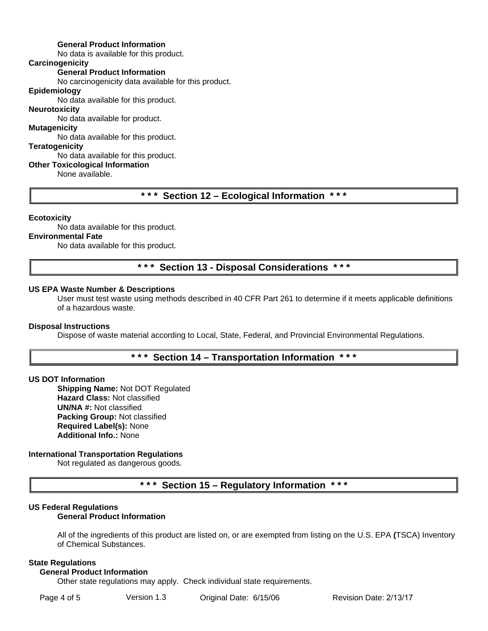## **General Product Information**

No data is available for this product.

## **Carcinogenicity**

**General Product Information**

No carcinogenicity data available for this product.

## **Epidemiology**

No data available for this product.

## **Neurotoxicity**

No data available for product.

## **Mutagenicity**

No data available for this product.

#### **Teratogenicity**

## No data available for this product.

**Other Toxicological Information**

None available.

## **\* \* \* Section 12 – Ecological Information \* \* \***

#### **Ecotoxicity**

No data available for this product.

## **Environmental Fate**

No data available for this product.

## **\* \* \* Section 13 - Disposal Considerations \* \* \***

## **US EPA Waste Number & Descriptions**

User must test waste using methods described in 40 CFR Part 261 to determine if it meets applicable definitions of a hazardous waste.

## **Disposal Instructions**

Dispose of waste material according to Local, State, Federal, and Provincial Environmental Regulations.

## **\* \* \* Section 14 – Transportation Information \* \* \***

## **US DOT Information**

**Shipping Name:** Not DOT Regulated **Hazard Class:** Not classified **UN/NA #:** Not classified **Packing Group:** Not classified **Required Label(s):** None **Additional Info.:** None

## **International Transportation Regulations**

Not regulated as dangerous goods.

## **\* \* \* Section 15 – Regulatory Information \* \* \***

## **US Federal Regulations**

## **General Product Information**

All of the ingredients of this product are listed on, or are exempted from listing on the U.S. EPA **(**TSCA) Inventory of Chemical Substances.

#### **State Regulations**

#### **General Product Information**

Other state regulations may apply. Check individual state requirements.